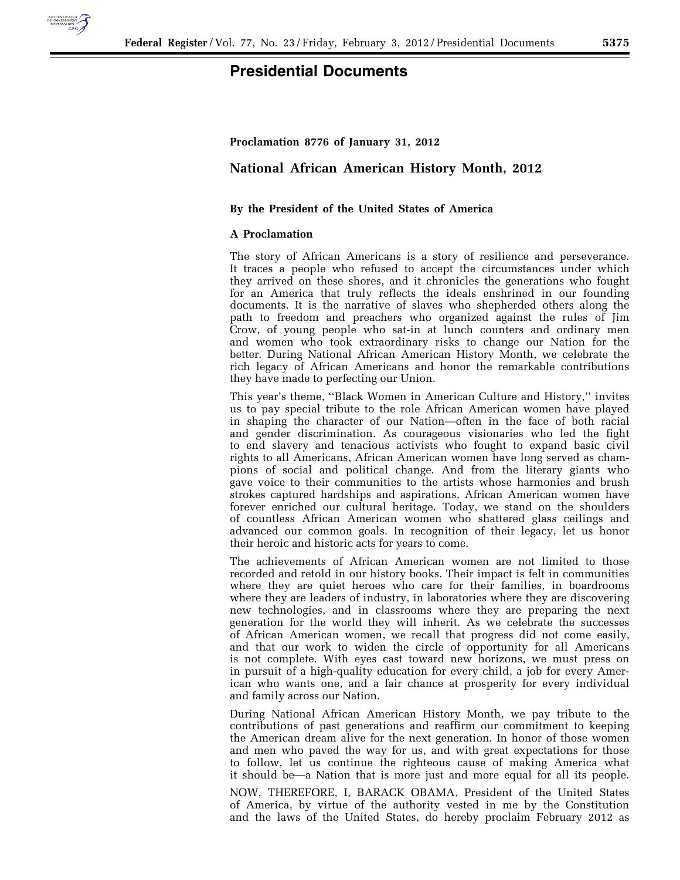

# **Presidential Documents**

### **Proclamation 8776 of January 31, 2012**

## **National African American History Month, 2012**

### **By the President of the United States of America**

#### **A Proclamation**

The story of African Americans is a story of resilience and perseverance. It traces a people who refused to accept the circumstances under which they arrived on these shores, and it chronicles the generations who fought for an America that truly reflects the ideals enshrined in our founding documents. It is the narrative of slaves who shepherded others along the path to freedom and preachers who organized against the rules of Jim Crow, of young people who sat-in at lunch counters and ordinary men and women who took extraordinary risks to change our Nation for the better. During National African American History Month, we celebrate the rich legacy of African Americans and honor the remarkable contributions they have made to perfecting our Union.

This year's theme, ''Black Women in American Culture and History,'' invites us to pay special tribute to the role African American women have played in shaping the character of our Nation—often in the face of both racial and gender discrimination. As courageous visionaries who led the fight to end slavery and tenacious activists who fought to expand basic civil rights to all Americans, African American women have long served as champions of social and political change. And from the literary giants who gave voice to their communities to the artists whose harmonies and brush strokes captured hardships and aspirations, African American women have forever enriched our cultural heritage. Today, we stand on the shoulders of countless African American women who shattered glass ceilings and advanced our common goals. In recognition of their legacy, let us honor their heroic and historic acts for years to come.

The achievements of African American women are not limited to those recorded and retold in our history books. Their impact is felt in communities where they are quiet heroes who care for their families, in boardrooms where they are leaders of industry, in laboratories where they are discovering new technologies, and in classrooms where they are preparing the next generation for the world they will inherit. As we celebrate the successes of African American women, we recall that progress did not come easily, and that our work to widen the circle of opportunity for all Americans is not complete. With eyes cast toward new horizons, we must press on in pursuit of a high-quality education for every child, a job for every American who wants one, and a fair chance at prosperity for every individual and family across our Nation.

During National African American History Month, we pay tribute to the contributions of past generations and reaffirm our commitment to keeping the American dream alive for the next generation. In honor of those women and men who paved the way for us, and with great expectations for those to follow, let us continue the righteous cause of making America what it should be—a Nation that is more just and more equal for all its people.

NOW, THEREFORE, I, BARACK OBAMA, President of the United States of America, by virtue of the authority vested in me by the Constitution and the laws of the United States, do hereby proclaim February 2012 as